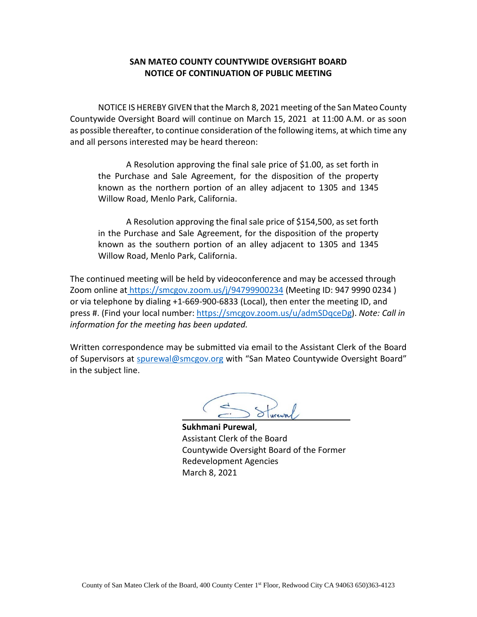#### **SAN MATEO COUNTY COUNTYWIDE OVERSIGHT BOARD NOTICE OF CONTINUATION OF PUBLIC MEETING**

NOTICE IS HEREBY GIVEN that the March 8, 2021 meeting of the San Mateo County Countywide Oversight Board will continue on March 15, 2021 at 11:00 A.M. or as soon as possible thereafter, to continue consideration of the following items, at which time any and all persons interested may be heard thereon:

A Resolution approving the final sale price of \$1.00, as set forth in the Purchase and Sale Agreement, for the disposition of the property known as the northern portion of an alley adjacent to 1305 and 1345 Willow Road, Menlo Park, California.

A Resolution approving the final sale price of \$154,500, as set forth in the Purchase and Sale Agreement, for the disposition of the property known as the southern portion of an alley adjacent to 1305 and 1345 Willow Road, Menlo Park, California.

The continued meeting will be held by videoconference and may be accessed through Zoom online at [https://smcgov.zoom.us/j/9](https://smcgov.zoom.us/j/xxxx)4799900234 (Meeting ID: 947 9990 0234 ) or via telephone by dialing +1-669-900-6833 (Local), then enter the meeting ID, and press #. (Find your local number: [https://smcgov.zoom.us/u/admSDqceDg\)](https://smcgov.zoom.us/u/admSDqceDg). *Note: Call in information for the meeting has been updated.*

Written correspondence may be submitted via email to the Assistant Clerk of the Board of Supervisors at [spurewal@smcgov.org](file://ctrl3/storage/shared/ptsa-grp/Countywide%20Oversight%20Board/Agendas/2021-03-08%20OB%20Agenda/Menlo%20Park%20Alley%20Parcel%20Sale/ARCHIVE/spurewal@smcgov.org) with "San Mateo Countywide Oversight Board" in the subject line.

Surewal

**Sukhmani Purewal**, Assistant Clerk of the Board Countywide Oversight Board of the Former Redevelopment Agencies March 8, 2021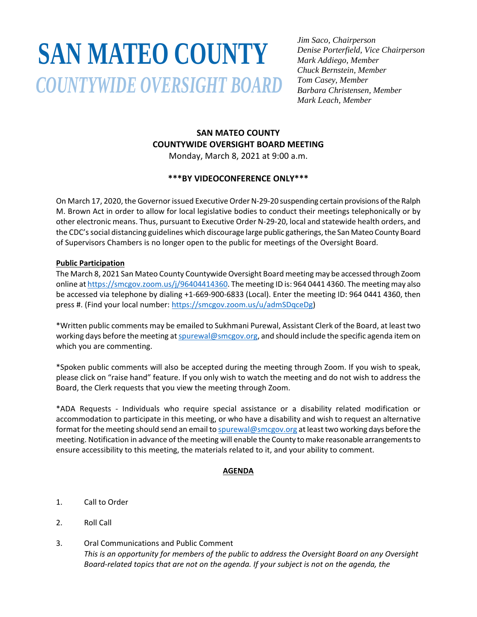# **SAN MATEO COUNTY***COUNTYWIDE OVERSIGHT BOARD*

*Jim Saco, Chairperson Denise Porterfield, Vice Chairperson Mark Addiego, Member Chuck Bernstein, Member Tom Casey, Member Barbara Christensen, Member Mark Leach, Member*

## **SAN MATEO COUNTY COUNTYWIDE OVERSIGHT BOARD MEETING** Monday, March 8, 2021 at 9:00 a.m.

# **\*\*\*BY VIDEOCONFERENCE ONLY\*\*\***

On March 17, 2020, the Governor issued Executive Order N-29-20 suspending certain provisions of the Ralph M. Brown Act in order to allow for local legislative bodies to conduct their meetings telephonically or by other electronic means. Thus, pursuant to Executive Order N-29-20, local and statewide health orders, and the CDC's social distancing guidelines which discourage large public gatherings, the San Mateo County Board of Supervisors Chambers is no longer open to the public for meetings of the Oversight Board.

### **Public Participation**

The March 8, 2021 San Mateo County Countywide Oversight Board meeting may be accessed through Zoom online at [https://smcgov.zoom.us/j/96404414360.](https://smcgov.zoom.us/j/96404414360) The meeting ID is: 964 0441 4360. The meeting may also be accessed via telephone by dialing +1-669-900-6833 (Local). Enter the meeting ID: 964 0441 4360, then press #. (Find your local number: [https://smcgov.zoom.us/u/admSDqceDg\)](https://smcgov.zoom.us/u/admSDqceDg)

\*Written public comments may be emailed to Sukhmani Purewal, Assistant Clerk of the Board, at least two working days before the meeting at spurewal@smcgov.org, and should include the specific agenda item on which you are commenting.

\*Spoken public comments will also be accepted during the meeting through Zoom. If you wish to speak, please click on "raise hand" feature. If you only wish to watch the meeting and do not wish to address the Board, the Clerk requests that you view the meeting through Zoom.

\*ADA Requests - Individuals who require special assistance or a disability related modification or accommodation to participate in this meeting, or who have a disability and wish to request an alternative format for the meeting should send an email to spurewal@smcgov.org at least two working days before the meeting. Notification in advance of the meeting will enable the County to make reasonable arrangements to ensure accessibility to this meeting, the materials related to it, and your ability to comment.

## **AGENDA**

- 1. Call to Order
- 2. Roll Call
- 3. Oral Communications and Public Comment *This is an opportunity for members of the public to address the Oversight Board on any Oversight Board-related topics that are not on the agenda. If your subject is not on the agenda, the*